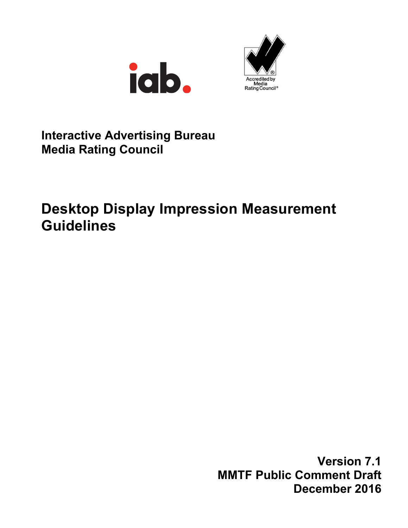



## **Interactive Advertising Bureau Media Rating Council**

# **Desktop Display Impression Measurement Guidelines**

**Version 7.1 MMTF Public Comment Draft December 2016**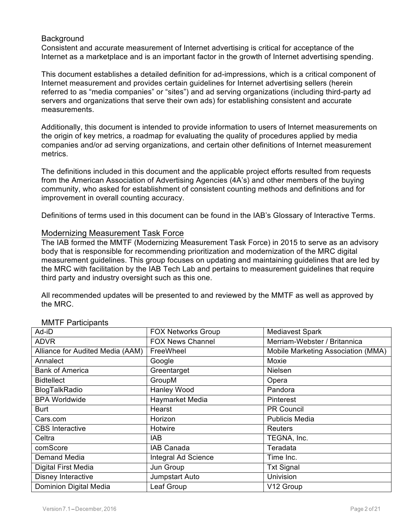#### **Background**

Consistent and accurate measurement of Internet advertising is critical for acceptance of the Internet as a marketplace and is an important factor in the growth of Internet advertising spending.

This document establishes a detailed definition for ad-impressions, which is a critical component of Internet measurement and provides certain guidelines for Internet advertising sellers (herein referred to as "media companies" or "sites") and ad serving organizations (including third-party ad servers and organizations that serve their own ads) for establishing consistent and accurate measurements.

Additionally, this document is intended to provide information to users of Internet measurements on the origin of key metrics, a roadmap for evaluating the quality of procedures applied by media companies and/or ad serving organizations, and certain other definitions of Internet measurement metrics.

The definitions included in this document and the applicable project efforts resulted from requests from the American Association of Advertising Agencies (4A's) and other members of the buying community, who asked for establishment of consistent counting methods and definitions and for improvement in overall counting accuracy.

Definitions of terms used in this document can be found in the IAB's Glossary of Interactive Terms.

#### Modernizing Measurement Task Force

The IAB formed the MMTF (Modernizing Measurement Task Force) in 2015 to serve as an advisory body that is responsible for recommending prioritization and modernization of the MRC digital measurement guidelines. This group focuses on updating and maintaining guidelines that are led by the MRC with facilitation by the IAB Tech Lab and pertains to measurement guidelines that require third party and industry oversight such as this one.

All recommended updates will be presented to and reviewed by the MMTF as well as approved by the MRC.

| Ad-iD                            | <b>FOX Networks Group</b> | <b>Mediavest Spark</b>             |
|----------------------------------|---------------------------|------------------------------------|
| <b>ADVR</b>                      | <b>FOX News Channel</b>   | Merriam-Webster / Britannica       |
| Alliance for Audited Media (AAM) | FreeWheel                 | Mobile Marketing Association (MMA) |
| Annalect                         | Google                    | Moxie                              |
| <b>Bank of America</b>           | Greentarget               | Nielsen                            |
| <b>Bidtellect</b>                | GroupM                    | Opera                              |
| BlogTalkRadio                    | Hanley Wood               | Pandora                            |
| <b>BPA Worldwide</b>             | Haymarket Media           | Pinterest                          |
| Burt                             | Hearst                    | <b>PR Council</b>                  |
| Cars.com                         | Horizon                   | <b>Publicis Media</b>              |
| <b>CBS</b> Interactive           | Hotwire                   | <b>Reuters</b>                     |
| Celtra                           | IAB.                      | TEGNA, Inc.                        |
| comScore                         | IAB Canada                | Teradata                           |
| Demand Media                     | Integral Ad Science       | Time Inc.                          |
| Digital First Media              | Jun Group                 | <b>Txt Signal</b>                  |
| Disney Interactive               | Jumpstart Auto            | Univision                          |
| Dominion Digital Media           | Leaf Group                | V12 Group                          |

#### MMTF Participants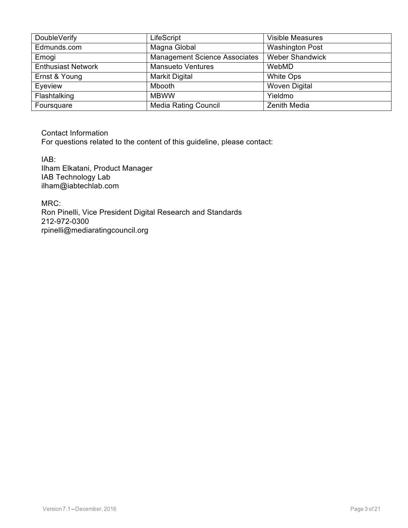| <b>DoubleVerify</b>       | LifeScript                           | <b>Visible Measures</b> |
|---------------------------|--------------------------------------|-------------------------|
| Edmunds.com               | Magna Global                         | <b>Washington Post</b>  |
| Emogi                     | <b>Management Science Associates</b> | <b>Weber Shandwick</b>  |
| <b>Enthusiast Network</b> | <b>Mansueto Ventures</b>             | WebMD                   |
| Ernst & Young             | Markit Digital                       | White Ops               |
| Eyeview                   | Mbooth                               | <b>Woven Digital</b>    |
| Flashtalking              | <b>MBWW</b>                          | Yieldmo                 |
| Foursquare                | <b>Media Rating Council</b>          | Zenith Media            |

Contact Information

For questions related to the content of this guideline, please contact:

IAB: Ilham Elkatani, Product Manager IAB Technology Lab ilham@iabtechlab.com

MRC: Ron Pinelli, Vice President Digital Research and Standards 212-972-0300 rpinelli@mediaratingcouncil.org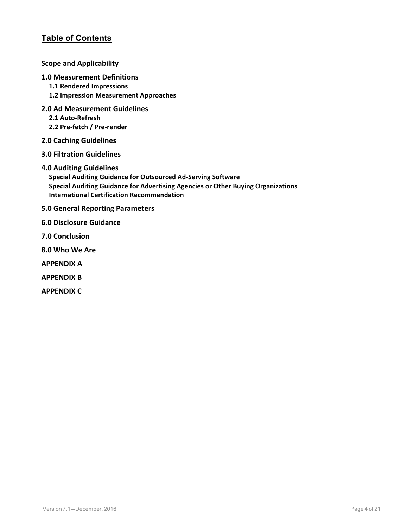## **Table of Contents**

#### **Scope and Applicability**

#### **1.0 Measurement Definitions**

- **1.1 Rendered Impressions**
- **1.2 Impression Measurement Approaches**
- **2.0 Ad Measurement Guidelines**
	- **2.1 Auto-Refresh**
	- **2.2 Pre-fetch / Pre-render**
- **2.0 Caching Guidelines**
- **3.0 Filtration Guidelines**
- **4.0 Auditing Guidelines**

**Special Auditing Guidance for Outsourced Ad-Serving Software Special Auditing Guidance for Advertising Agencies or Other Buying Organizations International Certification Recommendation**

- **5.0 General Reporting Parameters**
- **6.0 Disclosure Guidance**
- **7.0 Conclusion**
- **8.0 Who We Are**
- **APPENDIX A**
- **APPENDIX B**
- **APPENDIX C**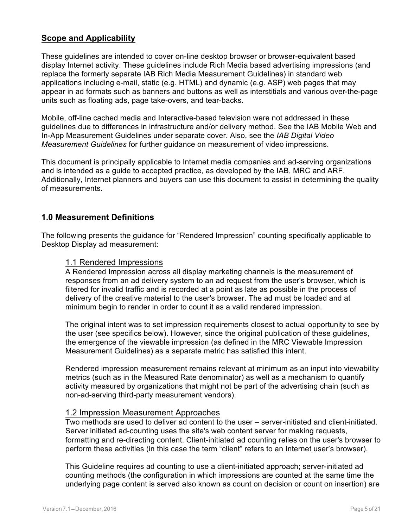### **Scope and Applicability**

These guidelines are intended to cover on-line desktop browser or browser-equivalent based display Internet activity. These guidelines include Rich Media based advertising impressions (and replace the formerly separate IAB Rich Media Measurement Guidelines) in standard web applications including e-mail, static (e.g. HTML) and dynamic (e.g. ASP) web pages that may appear in ad formats such as banners and buttons as well as interstitials and various over-the-page units such as floating ads, page take-overs, and tear-backs.

Mobile, off-line cached media and Interactive-based television were not addressed in these guidelines due to differences in infrastructure and/or delivery method. See the IAB Mobile Web and In-App Measurement Guidelines under separate cover. Also, see the *IAB Digital Video Measurement Guidelines* for further guidance on measurement of video impressions.

This document is principally applicable to Internet media companies and ad-serving organizations and is intended as a guide to accepted practice, as developed by the IAB, MRC and ARF. Additionally, Internet planners and buyers can use this document to assist in determining the quality of measurements.

#### **1.0 Measurement Definitions**

The following presents the guidance for "Rendered Impression" counting specifically applicable to Desktop Display ad measurement:

#### 1.1 Rendered Impressions

A Rendered Impression across all display marketing channels is the measurement of responses from an ad delivery system to an ad request from the user's browser, which is filtered for invalid traffic and is recorded at a point as late as possible in the process of delivery of the creative material to the user's browser. The ad must be loaded and at minimum begin to render in order to count it as a valid rendered impression.

The original intent was to set impression requirements closest to actual opportunity to see by the user (see specifics below). However, since the original publication of these guidelines, the emergence of the viewable impression (as defined in the MRC Viewable Impression Measurement Guidelines) as a separate metric has satisfied this intent.

Rendered impression measurement remains relevant at minimum as an input into viewability metrics (such as in the Measured Rate denominator) as well as a mechanism to quantify activity measured by organizations that might not be part of the advertising chain (such as non-ad-serving third-party measurement vendors).

#### 1.2 Impression Measurement Approaches

Two methods are used to deliver ad content to the user – server-initiated and client-initiated. Server initiated ad-counting uses the site's web content server for making requests, formatting and re-directing content. Client-initiated ad counting relies on the user's browser to perform these activities (in this case the term "client" refers to an Internet user's browser).

This Guideline requires ad counting to use a client-initiated approach; server-initiated ad counting methods (the configuration in which impressions are counted at the same time the underlying page content is served also known as count on decision or count on insertion) are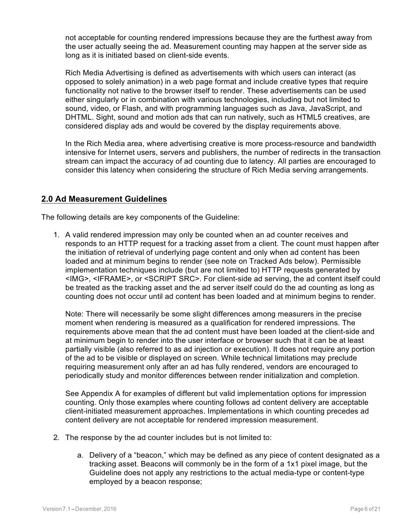not acceptable for counting rendered impressions because they are the furthest away from the user actually seeing the ad. Measurement counting may happen at the server side as long as it is initiated based on client-side events.

Rich Media Advertising is defined as advertisements with which users can interact (as opposed to solely animation) in a web page format and include creative types that require functionality not native to the browser itself to render. These advertisements can be used either singularly or in combination with various technologies, including but not limited to sound, video, or Flash, and with programming languages such as Java, JavaScript, and DHTML. Sight, sound and motion ads that can run natively, such as HTML5 creatives, are considered display ads and would be covered by the display requirements above.

In the Rich Media area, where advertising creative is more process-resource and bandwidth intensive for Internet users, servers and publishers, the number of redirects in the transaction stream can impact the accuracy of ad counting due to latency. All parties are encouraged to consider this latency when considering the structure of Rich Media serving arrangements.

## **2.0 Ad Measurement Guidelines**

The following details are key components of the Guideline:

1. A valid rendered impression may only be counted when an ad counter receives and responds to an HTTP request for a tracking asset from a client. The count must happen after the initiation of retrieval of underlying page content and only when ad content has been loaded and at minimum begins to render (see note on Tracked Ads below). Permissible implementation techniques include (but are not limited to) HTTP requests generated by <IMG>, <IFRAME>, or <SCRIPT SRC>. For client-side ad serving, the ad content itself could be treated as the tracking asset and the ad server itself could do the ad counting as long as counting does not occur until ad content has been loaded and at minimum begins to render.

Note: There will necessarily be some slight differences among measurers in the precise moment when rendering is measured as a qualification for rendered impressions. The requirements above mean that the ad content must have been loaded at the client-side and at minimum begin to render into the user interface or browser such that it can be at least partially visible (also referred to as ad injection or execution). It does not require any portion of the ad to be visible or displayed on screen. While technical limitations may preclude requiring measurement only after an ad has fully rendered, vendors are encouraged to periodically study and monitor differences between render initialization and completion.

See Appendix A for examples of different but valid implementation options for impression counting. Only those examples where counting follows ad content delivery are acceptable client-initiated measurement approaches. Implementations in which counting precedes ad content delivery are not acceptable for rendered impression measurement.

- 2. The response by the ad counter includes but is not limited to:
	- a. Delivery of a "beacon," which may be defined as any piece of content designated as a tracking asset. Beacons will commonly be in the form of a 1x1 pixel image, but the Guideline does not apply any restrictions to the actual media-type or content-type employed by a beacon response;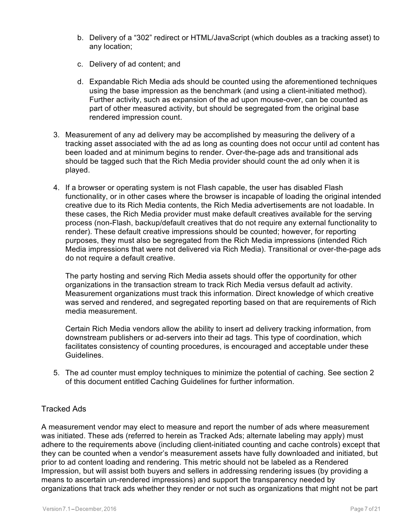- b. Delivery of a "302" redirect or HTML/JavaScript (which doubles as a tracking asset) to any location;
- c. Delivery of ad content; and
- d. Expandable Rich Media ads should be counted using the aforementioned techniques using the base impression as the benchmark (and using a client-initiated method). Further activity, such as expansion of the ad upon mouse-over, can be counted as part of other measured activity, but should be segregated from the original base rendered impression count.
- 3. Measurement of any ad delivery may be accomplished by measuring the delivery of a tracking asset associated with the ad as long as counting does not occur until ad content has been loaded and at minimum begins to render. Over-the-page ads and transitional ads should be tagged such that the Rich Media provider should count the ad only when it is played.
- 4. If a browser or operating system is not Flash capable, the user has disabled Flash functionality, or in other cases where the browser is incapable of loading the original intended creative due to its Rich Media contents, the Rich Media advertisements are not loadable. In these cases, the Rich Media provider must make default creatives available for the serving process (non-Flash, backup/default creatives that do not require any external functionality to render). These default creative impressions should be counted; however, for reporting purposes, they must also be segregated from the Rich Media impressions (intended Rich Media impressions that were not delivered via Rich Media). Transitional or over-the-page ads do not require a default creative.

The party hosting and serving Rich Media assets should offer the opportunity for other organizations in the transaction stream to track Rich Media versus default ad activity. Measurement organizations must track this information. Direct knowledge of which creative was served and rendered, and segregated reporting based on that are requirements of Rich media measurement.

Certain Rich Media vendors allow the ability to insert ad delivery tracking information, from downstream publishers or ad-servers into their ad tags. This type of coordination, which facilitates consistency of counting procedures, is encouraged and acceptable under these Guidelines.

5. The ad counter must employ techniques to minimize the potential of caching. See section 2 of this document entitled Caching Guidelines for further information.

#### Tracked Ads

A measurement vendor may elect to measure and report the number of ads where measurement was initiated. These ads (referred to herein as Tracked Ads; alternate labeling may apply) must adhere to the requirements above (including client-initiated counting and cache controls) except that they can be counted when a vendor's measurement assets have fully downloaded and initiated, but prior to ad content loading and rendering. This metric should not be labeled as a Rendered Impression, but will assist both buyers and sellers in addressing rendering issues (by providing a means to ascertain un-rendered impressions) and support the transparency needed by organizations that track ads whether they render or not such as organizations that might not be part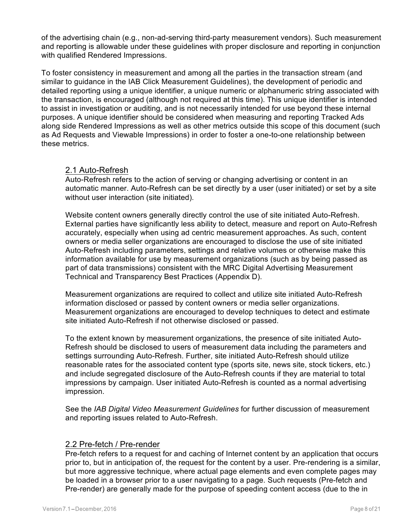of the advertising chain (e.g., non-ad-serving third-party measurement vendors). Such measurement and reporting is allowable under these guidelines with proper disclosure and reporting in conjunction with qualified Rendered Impressions.

To foster consistency in measurement and among all the parties in the transaction stream (and similar to guidance in the IAB Click Measurement Guidelines), the development of periodic and detailed reporting using a unique identifier, a unique numeric or alphanumeric string associated with the transaction, is encouraged (although not required at this time). This unique identifier is intended to assist in investigation or auditing, and is not necessarily intended for use beyond these internal purposes. A unique identifier should be considered when measuring and reporting Tracked Ads along side Rendered Impressions as well as other metrics outside this scope of this document (such as Ad Requests and Viewable Impressions) in order to foster a one-to-one relationship between these metrics.

#### 2.1 Auto-Refresh

Auto-Refresh refers to the action of serving or changing advertising or content in an automatic manner. Auto-Refresh can be set directly by a user (user initiated) or set by a site without user interaction (site initiated).

Website content owners generally directly control the use of site initiated Auto-Refresh. External parties have significantly less ability to detect, measure and report on Auto-Refresh accurately, especially when using ad centric measurement approaches. As such, content owners or media seller organizations are encouraged to disclose the use of site initiated Auto-Refresh including parameters, settings and relative volumes or otherwise make this information available for use by measurement organizations (such as by being passed as part of data transmissions) consistent with the MRC Digital Advertising Measurement Technical and Transparency Best Practices (Appendix D).

Measurement organizations are required to collect and utilize site initiated Auto-Refresh information disclosed or passed by content owners or media seller organizations. Measurement organizations are encouraged to develop techniques to detect and estimate site initiated Auto-Refresh if not otherwise disclosed or passed.

To the extent known by measurement organizations, the presence of site initiated Auto-Refresh should be disclosed to users of measurement data including the parameters and settings surrounding Auto-Refresh. Further, site initiated Auto-Refresh should utilize reasonable rates for the associated content type (sports site, news site, stock tickers, etc.) and include segregated disclosure of the Auto-Refresh counts if they are material to total impressions by campaign. User initiated Auto-Refresh is counted as a normal advertising impression.

See the *IAB Digital Video Measurement Guidelines* for further discussion of measurement and reporting issues related to Auto-Refresh.

#### 2.2 Pre-fetch / Pre-render

Pre-fetch refers to a request for and caching of Internet content by an application that occurs prior to, but in anticipation of, the request for the content by a user. Pre-rendering is a similar, but more aggressive technique, where actual page elements and even complete pages may be loaded in a browser prior to a user navigating to a page. Such requests (Pre-fetch and Pre-render) are generally made for the purpose of speeding content access (due to the in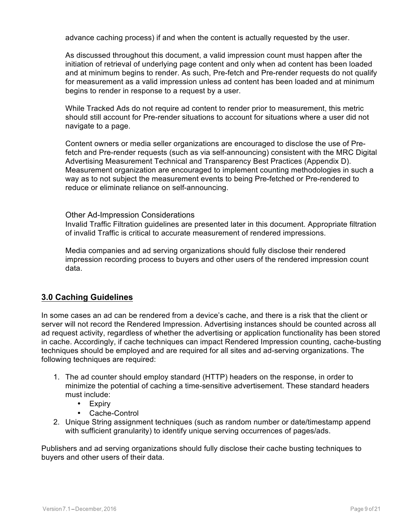advance caching process) if and when the content is actually requested by the user.

As discussed throughout this document, a valid impression count must happen after the initiation of retrieval of underlying page content and only when ad content has been loaded and at minimum begins to render. As such, Pre-fetch and Pre-render requests do not qualify for measurement as a valid impression unless ad content has been loaded and at minimum begins to render in response to a request by a user.

While Tracked Ads do not require ad content to render prior to measurement, this metric should still account for Pre-render situations to account for situations where a user did not navigate to a page.

Content owners or media seller organizations are encouraged to disclose the use of Prefetch and Pre-render requests (such as via self-announcing) consistent with the MRC Digital Advertising Measurement Technical and Transparency Best Practices (Appendix D). Measurement organization are encouraged to implement counting methodologies in such a way as to not subject the measurement events to being Pre-fetched or Pre-rendered to reduce or eliminate reliance on self-announcing.

#### Other Ad-Impression Considerations

Invalid Traffic Filtration guidelines are presented later in this document. Appropriate filtration of invalid Traffic is critical to accurate measurement of rendered impressions.

Media companies and ad serving organizations should fully disclose their rendered impression recording process to buyers and other users of the rendered impression count data.

#### **3.0 Caching Guidelines**

In some cases an ad can be rendered from a device's cache, and there is a risk that the client or server will not record the Rendered Impression. Advertising instances should be counted across all ad request activity, regardless of whether the advertising or application functionality has been stored in cache. Accordingly, if cache techniques can impact Rendered Impression counting, cache-busting techniques should be employed and are required for all sites and ad-serving organizations. The following techniques are required:

- 1. The ad counter should employ standard (HTTP) headers on the response, in order to minimize the potential of caching a time-sensitive advertisement. These standard headers must include:
	- Expiry
	- Cache-Control
- 2. Unique String assignment techniques (such as random number or date/timestamp append with sufficient granularity) to identify unique serving occurrences of pages/ads.

Publishers and ad serving organizations should fully disclose their cache busting techniques to buyers and other users of their data.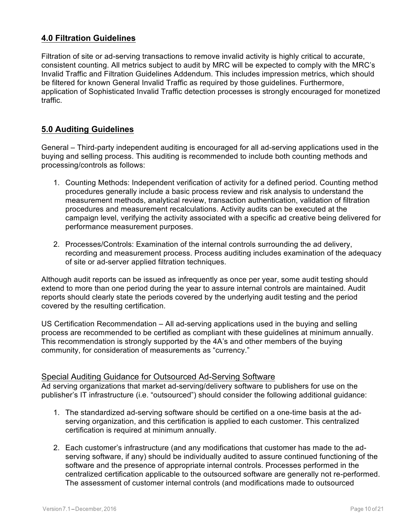## **4.0 Filtration Guidelines**

Filtration of site or ad-serving transactions to remove invalid activity is highly critical to accurate, consistent counting. All metrics subject to audit by MRC will be expected to comply with the MRC's Invalid Traffic and Filtration Guidelines Addendum. This includes impression metrics, which should be filtered for known General Invalid Traffic as required by those guidelines. Furthermore, application of Sophisticated Invalid Traffic detection processes is strongly encouraged for monetized traffic.

## **5.0 Auditing Guidelines**

General – Third-party independent auditing is encouraged for all ad-serving applications used in the buying and selling process. This auditing is recommended to include both counting methods and processing/controls as follows:

- 1. Counting Methods: Independent verification of activity for a defined period. Counting method procedures generally include a basic process review and risk analysis to understand the measurement methods, analytical review, transaction authentication, validation of filtration procedures and measurement recalculations. Activity audits can be executed at the campaign level, verifying the activity associated with a specific ad creative being delivered for performance measurement purposes.
- 2. Processes/Controls: Examination of the internal controls surrounding the ad delivery, recording and measurement process. Process auditing includes examination of the adequacy of site or ad-server applied filtration techniques.

Although audit reports can be issued as infrequently as once per year, some audit testing should extend to more than one period during the year to assure internal controls are maintained. Audit reports should clearly state the periods covered by the underlying audit testing and the period covered by the resulting certification.

US Certification Recommendation – All ad-serving applications used in the buying and selling process are recommended to be certified as compliant with these guidelines at minimum annually. This recommendation is strongly supported by the 4A's and other members of the buying community, for consideration of measurements as "currency."

#### Special Auditing Guidance for Outsourced Ad-Serving Software

Ad serving organizations that market ad-serving/delivery software to publishers for use on the publisher's IT infrastructure (i.e. "outsourced") should consider the following additional guidance:

- 1. The standardized ad-serving software should be certified on a one-time basis at the adserving organization, and this certification is applied to each customer. This centralized certification is required at minimum annually.
- 2. Each customer's infrastructure (and any modifications that customer has made to the adserving software, if any) should be individually audited to assure continued functioning of the software and the presence of appropriate internal controls. Processes performed in the centralized certification applicable to the outsourced software are generally not re-performed. The assessment of customer internal controls (and modifications made to outsourced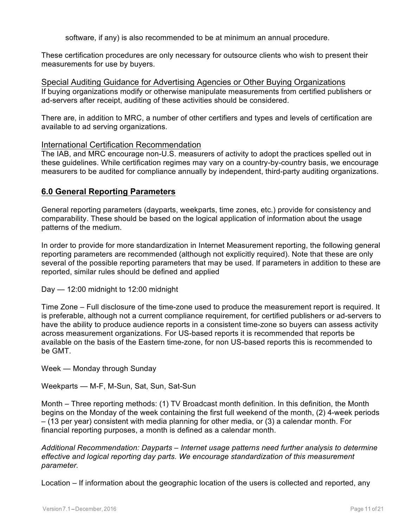software, if any) is also recommended to be at minimum an annual procedure.

These certification procedures are only necessary for outsource clients who wish to present their measurements for use by buyers.

Special Auditing Guidance for Advertising Agencies or Other Buying Organizations If buying organizations modify or otherwise manipulate measurements from certified publishers or ad-servers after receipt, auditing of these activities should be considered.

There are, in addition to MRC, a number of other certifiers and types and levels of certification are available to ad serving organizations.

#### International Certification Recommendation

The IAB, and MRC encourage non-U.S. measurers of activity to adopt the practices spelled out in these guidelines. While certification regimes may vary on a country-by-country basis, we encourage measurers to be audited for compliance annually by independent, third-party auditing organizations.

#### **6.0 General Reporting Parameters**

General reporting parameters (dayparts, weekparts, time zones, etc.) provide for consistency and comparability. These should be based on the logical application of information about the usage patterns of the medium.

In order to provide for more standardization in Internet Measurement reporting, the following general reporting parameters are recommended (although not explicitly required). Note that these are only several of the possible reporting parameters that may be used. If parameters in addition to these are reported, similar rules should be defined and applied

Day — 12:00 midnight to 12:00 midnight

Time Zone – Full disclosure of the time-zone used to produce the measurement report is required. It is preferable, although not a current compliance requirement, for certified publishers or ad-servers to have the ability to produce audience reports in a consistent time-zone so buyers can assess activity across measurement organizations. For US-based reports it is recommended that reports be available on the basis of the Eastern time-zone, for non US-based reports this is recommended to be GMT.

Week — Monday through Sunday

Weekparts — M-F, M-Sun, Sat, Sun, Sat-Sun

Month – Three reporting methods: (1) TV Broadcast month definition. In this definition, the Month begins on the Monday of the week containing the first full weekend of the month, (2) 4-week periods – (13 per year) consistent with media planning for other media, or (3) a calendar month. For financial reporting purposes, a month is defined as a calendar month.

*Additional Recommendation: Dayparts – Internet usage patterns need further analysis to determine effective and logical reporting day parts. We encourage standardization of this measurement parameter.*

Location – If information about the geographic location of the users is collected and reported, any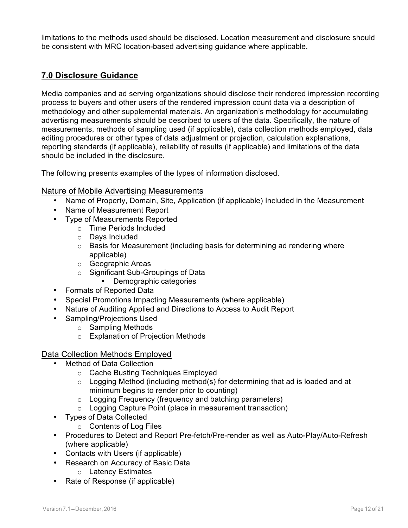limitations to the methods used should be disclosed. Location measurement and disclosure should be consistent with MRC location-based advertising guidance where applicable.

## **7.0 Disclosure Guidance**

Media companies and ad serving organizations should disclose their rendered impression recording process to buyers and other users of the rendered impression count data via a description of methodology and other supplemental materials. An organization's methodology for accumulating advertising measurements should be described to users of the data. Specifically, the nature of measurements, methods of sampling used (if applicable), data collection methods employed, data editing procedures or other types of data adjustment or projection, calculation explanations, reporting standards (if applicable), reliability of results (if applicable) and limitations of the data should be included in the disclosure.

The following presents examples of the types of information disclosed.

#### Nature of Mobile Advertising Measurements

- Name of Property, Domain, Site, Application (if applicable) Included in the Measurement
- Name of Measurement Report
- Type of Measurements Reported
	- o Time Periods Included
	- o Days Included
	- $\circ$  Basis for Measurement (including basis for determining ad rendering where applicable)
	- o Geographic Areas
	- o Significant Sub-Groupings of Data
		- Demographic categories
- Formats of Reported Data
- Special Promotions Impacting Measurements (where applicable)
- Nature of Auditing Applied and Directions to Access to Audit Report
	- Sampling/Projections Used
		- o Sampling Methods
		- o Explanation of Projection Methods

#### Data Collection Methods Employed

- Method of Data Collection
	- o Cache Busting Techniques Employed
	- $\circ$  Logging Method (including method(s) for determining that ad is loaded and at minimum begins to render prior to counting)
	- o Logging Frequency (frequency and batching parameters)
	- o Logging Capture Point (place in measurement transaction)
- Types of Data Collected
	- o Contents of Log Files
- Procedures to Detect and Report Pre-fetch/Pre-render as well as Auto-Play/Auto-Refresh (where applicable)
- Contacts with Users (if applicable)
- Research on Accuracy of Basic Data
	- o Latency Estimates
- Rate of Response (if applicable)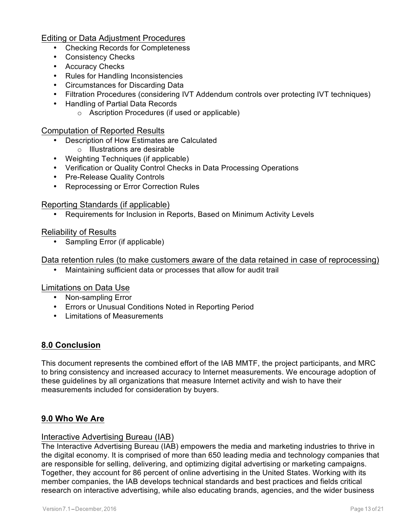#### Editing or Data Adjustment Procedures

- Checking Records for Completeness
- Consistency Checks
- Accuracy Checks
- Rules for Handling Inconsistencies
- Circumstances for Discarding Data
- Filtration Procedures (considering IVT Addendum controls over protecting IVT techniques)
- Handling of Partial Data Records
	- o Ascription Procedures (if used or applicable)

#### Computation of Reported Results

- Description of How Estimates are Calculated
	- o Illustrations are desirable
- Weighting Techniques (if applicable)
- Verification or Quality Control Checks in Data Processing Operations
- Pre-Release Quality Controls
- Reprocessing or Error Correction Rules

#### Reporting Standards (if applicable)

• Requirements for Inclusion in Reports, Based on Minimum Activity Levels

#### Reliability of Results

• Sampling Error (if applicable)

Data retention rules (to make customers aware of the data retained in case of reprocessing)

• Maintaining sufficient data or processes that allow for audit trail

#### Limitations on Data Use

- Non-sampling Error
- Errors or Unusual Conditions Noted in Reporting Period
- Limitations of Measurements

#### **8.0 Conclusion**

This document represents the combined effort of the IAB MMTF, the project participants, and MRC to bring consistency and increased accuracy to Internet measurements. We encourage adoption of these guidelines by all organizations that measure Internet activity and wish to have their measurements included for consideration by buyers.

## **9.0 Who We Are**

#### Interactive Advertising Bureau (IAB)

The Interactive Advertising Bureau (IAB) empowers the media and marketing industries to thrive in the digital economy. It is comprised of more than 650 leading media and technology companies that are responsible for selling, delivering, and optimizing digital advertising or marketing campaigns. Together, they account for 86 percent of online advertising in the United States. Working with its member companies, the IAB develops technical standards and best practices and fields critical research on interactive advertising, while also educating brands, agencies, and the wider business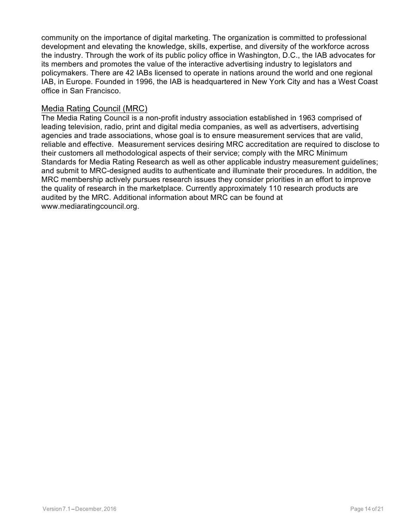community on the importance of digital marketing. The organization is committed to professional development and elevating the knowledge, skills, expertise, and diversity of the workforce across the industry. Through the work of its public policy office in Washington, D.C., the IAB advocates for its members and promotes the value of the interactive advertising industry to legislators and policymakers. There are 42 IABs licensed to operate in nations around the world and one regional IAB, in Europe. Founded in 1996, the IAB is headquartered in New York City and has a West Coast office in San Francisco.

#### Media Rating Council (MRC)

The Media Rating Council is a non-profit industry association established in 1963 comprised of leading television, radio, print and digital media companies, as well as advertisers, advertising agencies and trade associations, whose goal is to ensure measurement services that are valid, reliable and effective. Measurement services desiring MRC accreditation are required to disclose to their customers all methodological aspects of their service; comply with the MRC Minimum Standards for Media Rating Research as well as other applicable industry measurement guidelines; and submit to MRC-designed audits to authenticate and illuminate their procedures. In addition, the MRC membership actively pursues research issues they consider priorities in an effort to improve the quality of research in the marketplace. Currently approximately 110 research products are audited by the MRC. Additional information about MRC can be found at www.mediaratingcouncil.org.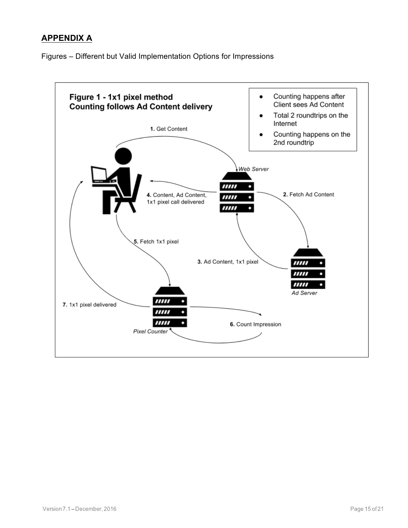## **APPENDIX A**

Figures – Different but Valid Implementation Options for Impressions

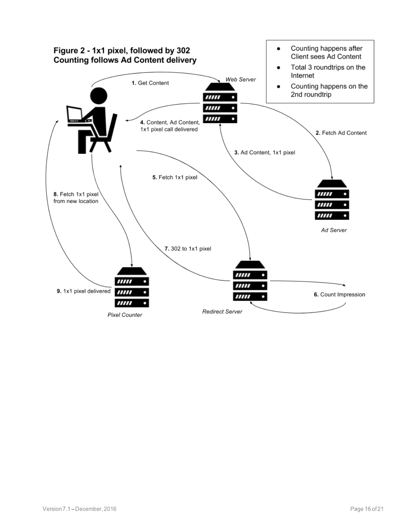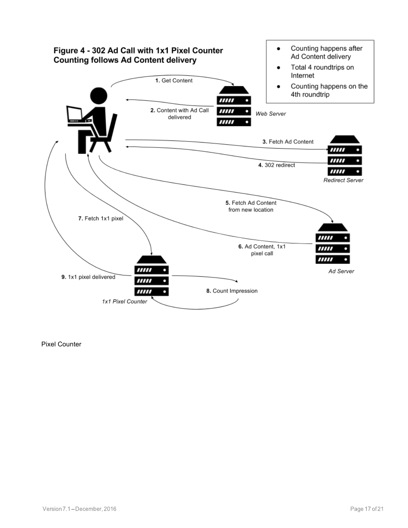

Pixel Counter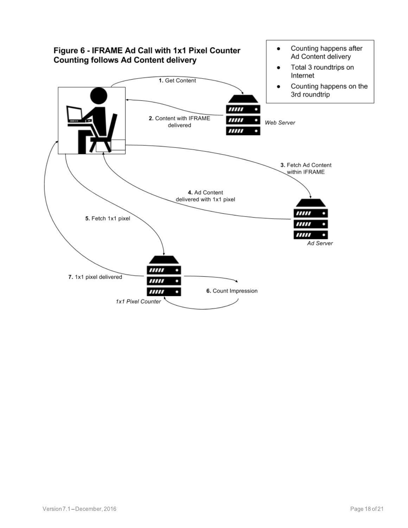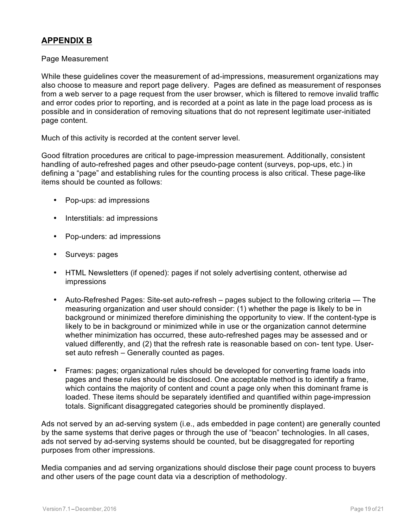## **APPENDIX B**

#### Page Measurement

While these guidelines cover the measurement of ad-impressions, measurement organizations may also choose to measure and report page delivery. Pages are defined as measurement of responses from a web server to a page request from the user browser, which is filtered to remove invalid traffic and error codes prior to reporting, and is recorded at a point as late in the page load process as is possible and in consideration of removing situations that do not represent legitimate user-initiated page content.

Much of this activity is recorded at the content server level.

Good filtration procedures are critical to page-impression measurement. Additionally, consistent handling of auto-refreshed pages and other pseudo-page content (surveys, pop-ups, etc.) in defining a "page" and establishing rules for the counting process is also critical. These page-like items should be counted as follows:

- Pop-ups: ad impressions
- Interstitials: ad impressions
- Pop-unders: ad impressions
- Surveys: pages
- HTML Newsletters (if opened): pages if not solely advertising content, otherwise ad impressions
- Auto-Refreshed Pages: Site-set auto-refresh pages subject to the following criteria The measuring organization and user should consider: (1) whether the page is likely to be in background or minimized therefore diminishing the opportunity to view. If the content-type is likely to be in background or minimized while in use or the organization cannot determine whether minimization has occurred, these auto-refreshed pages may be assessed and or valued differently, and (2) that the refresh rate is reasonable based on con- tent type. Userset auto refresh – Generally counted as pages.
- Frames: pages; organizational rules should be developed for converting frame loads into pages and these rules should be disclosed. One acceptable method is to identify a frame, which contains the majority of content and count a page only when this dominant frame is loaded. These items should be separately identified and quantified within page-impression totals. Significant disaggregated categories should be prominently displayed.

Ads not served by an ad-serving system (i.e., ads embedded in page content) are generally counted by the same systems that derive pages or through the use of "beacon" technologies. In all cases, ads not served by ad-serving systems should be counted, but be disaggregated for reporting purposes from other impressions.

Media companies and ad serving organizations should disclose their page count process to buyers and other users of the page count data via a description of methodology.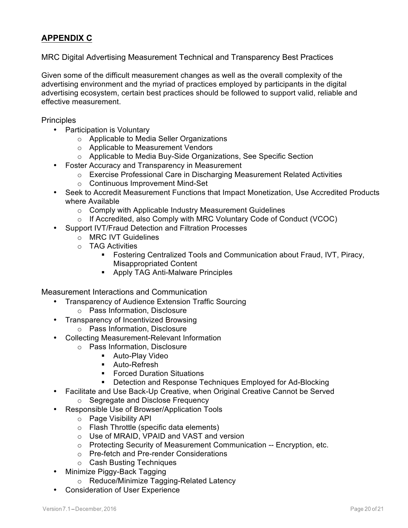## **APPENDIX C**

#### MRC Digital Advertising Measurement Technical and Transparency Best Practices

Given some of the difficult measurement changes as well as the overall complexity of the advertising environment and the myriad of practices employed by participants in the digital advertising ecosystem, certain best practices should be followed to support valid, reliable and effective measurement.

**Principles** 

- Participation is Voluntary
	- o Applicable to Media Seller Organizations
	- o Applicable to Measurement Vendors
	- o Applicable to Media Buy-Side Organizations, See Specific Section
- Foster Accuracy and Transparency in Measurement
	- o Exercise Professional Care in Discharging Measurement Related Activities
	- o Continuous Improvement Mind-Set
- Seek to Accredit Measurement Functions that Impact Monetization, Use Accredited Products where Available
	- o Comply with Applicable Industry Measurement Guidelines
	- $\circ$  If Accredited, also Comply with MRC Voluntary Code of Conduct (VCOC)
	- Support IVT/Fraud Detection and Filtration Processes
		- o MRC IVT Guidelines
		- o TAG Activities
			- § Fostering Centralized Tools and Communication about Fraud, IVT, Piracy, Misappropriated Content
			- Apply TAG Anti-Malware Principles

Measurement Interactions and Communication

- Transparency of Audience Extension Traffic Sourcing
	- o Pass Information, Disclosure
- Transparency of Incentivized Browsing
	- o Pass Information, Disclosure
- Collecting Measurement-Relevant Information
	- o Pass Information, Disclosure
		- **•** Auto-Play Video
		- **•** Auto-Refresh
		- Forced Duration Situations
		- § Detection and Response Techniques Employed for Ad-Blocking
- Facilitate and Use Back-Up Creative, when Original Creative Cannot be Served
	- o Segregate and Disclose Frequency
- Responsible Use of Browser/Application Tools
	- o Page Visibility API
	- o Flash Throttle (specific data elements)
	- o Use of MRAID, VPAID and VAST and version
	- o Protecting Security of Measurement Communication -- Encryption, etc.
	- o Pre-fetch and Pre-render Considerations
	- o Cash Busting Techniques
- Minimize Piggy-Back Tagging
	- o Reduce/Minimize Tagging-Related Latency
- Consideration of User Experience